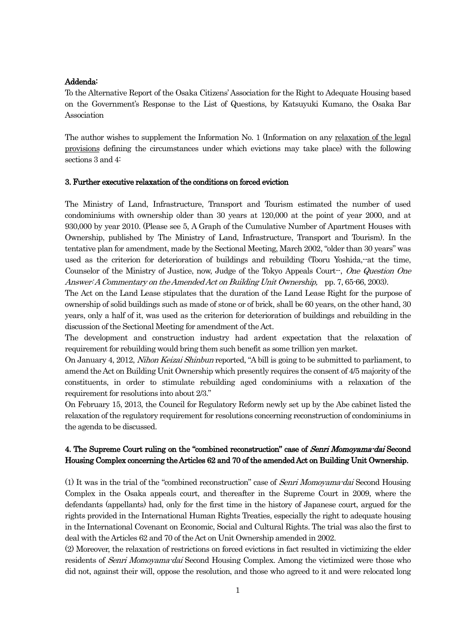## Addenda:

To the Alternative Report of the Osaka Citizens' Association for the Right to Adequate Housing based on the Government's Response to the List of Questions, by Katsuyuki Kumano, the Osaka Bar Association

The author wishes to supplement the Information No. 1 (Information on any relaxation of the legal provisions defining the circumstances under which evictions may take place) with the following sections 3 and 4:

## 3. Further executive relaxation of the conditions on forced eviction

The Ministry of Land, Infrastructure, Transport and Tourism estimated the number of used condominiums with ownership older than 30 years at 120,000 at the point of year 2000, and at 930,000 by year 2010. (Please see 5, A Graph of the Cumulative Number of Apartment Houses with Ownership, published by The Ministry of Land, Infrastructure, Transport and Tourism). In the tentative plan for amendment, made by the Sectional Meeting, March 2002, "older than 30 years" was used as the criterion for deterioration of buildings and rebuilding (Tooru Yoshida,--at the time, Counselor of the Ministry of Justice, now, Judge of the Tokyo Appeals Court--, One Question One Answer: A Commentary on the Amended Act on Building Unit Ownership, pp. 7, 65-66, 2003).

The Act on the Land Lease stipulates that the duration of the Land Lease Right for the purpose of ownership of solid buildings such as made of stone or of brick, shall be 60 years, on the other hand, 30 years, only a half of it, was used as the criterion for deterioration of buildings and rebuilding in the discussion of the Sectional Meeting for amendment of the Act.

The development and construction industry had ardent expectation that the relaxation of requirement for rebuilding would bring them such benefit as some trillion yen market.

On January 4, 2012, Nihon Keizai Shinbun reported, "A bill is going to be submitted to parliament, to amend the Act on Building Unit Ownership which presently requires the consent of 4/5 majority of the constituents, in order to stimulate rebuilding aged condominiums with a relaxation of the requirement for resolutions into about 2/3."

On February 15, 2013, the Council for Regulatory Reform newly set up by the Abe cabinet listed the relaxation of the regulatory requirement for resolutions concerning reconstruction of condominiums in the agenda to be discussed.

## 4. The Supreme Court ruling on the "combined reconstruction" case of *Senri Momoyama-dai* Second Housing Complex concerning the Articles 62 and 70 of the amended Act on Building Unit Ownership.

(1) It was in the trial of the "combined reconstruction" case of Senri Momoyama-dai Second Housing Complex in the Osaka appeals court, and thereafter in the Supreme Court in 2009, where the defendants (appellants) had, only for the first time in the history of Japanese court, argued for the rights provided in the International Human Rights Treaties, especially the right to adequate housing in the International Covenant on Economic, Social and Cultural Rights. The trial was also the first to deal with the Articles 62 and 70 of the Act on Unit Ownership amended in 2002.

(2) Moreover, the relaxation of restrictions on forced evictions in fact resulted in victimizing the elder residents of *Senri Momoyama-dai* Second Housing Complex. Among the victimized were those who did not, against their will, oppose the resolution, and those who agreed to it and were relocated long